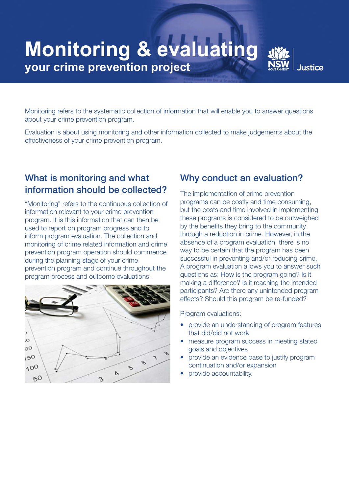# **Monitoring & evaluating your crime prevention project**

**Justice** 

Monitoring refers to the systematic collection of information that will enable you to answer questions about your crime prevention program.

Evaluation is about using monitoring and other information collected to make judgements about the effectiveness of your crime prevention program.

## What is monitoring and what information should be collected?

"Monitoring" refers to the continuous collection of information relevant to your crime prevention program. It is this information that can then be used to report on program progress and to inform program evaluation. The collection and monitoring of crime related information and crime prevention program operation should commence during the planning stage of your crime prevention program and continue throughout the program process and outcome evaluations.



## Why conduct an evaluation?

The implementation of crime prevention programs can be costly and time consuming, but the costs and time involved in implementing these programs is considered to be outweighed by the benefits they bring to the community through a reduction in crime. However, in the absence of a program evaluation, there is no way to be certain that the program has been successful in preventing and/or reducing crime. A program evaluation allows you to answer such questions as: How is the program going? Is it making a difference? Is it reaching the intended participants? Are there any unintended program effects? Should this program be re-funded?

Program evaluations:

- provide an understanding of program features that did/did not work
- measure program success in meeting stated goals and objectives
- provide an evidence base to justify program continuation and/or expansion
- provide accountability.